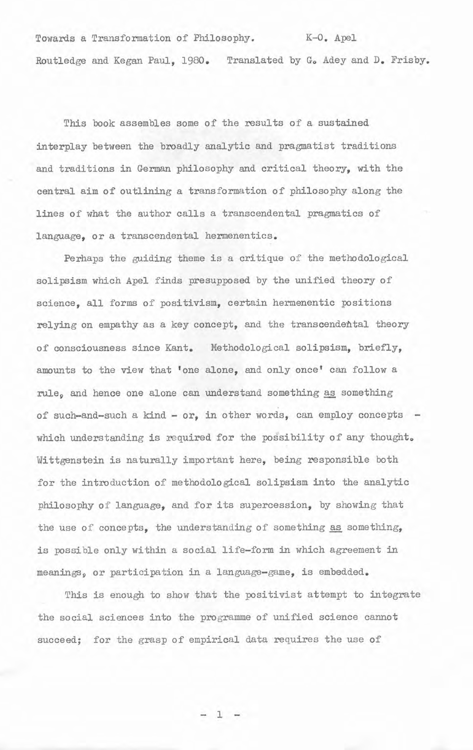Towards a Transformation of Philosophy. K-0. Apel Routledge and Kegan Paul, 1980. Translated by G. Adey and D. Frisby.

This book assembles some of the results of a sustained interplay between the broadly analytic and pragnatist traditions and traditions in German philosophy and critical theory, with the central aim of outlining a trans formation of philosophy along the lines of what the author calls a transcendental pragmatics of language, or a transcendental hermenentics.

Perhaps the guiding theme is a critique of the methodological solipsism which Ape1 finds presupposed by the unified theory of science, all forms of positivism, certain hermenentic positions relying on empathy as a key concept, and the transcendehtal theory of consciousness since Kant. Methodological solipsism, briefly, amounts to the view that 'one alone, and only once' can follow a rule, and hence one alone can understand something as something of such-and-such a kind -  $or$ , in other words, can employ concepts which understanding is required for the possibility of any thought. Wittgenstein is naturally important here, being responsible both for the introduction of methodological solipsism into the analytic philosophy of language, and for its supercession, by showing that the use of concepts, the understanding of something as something, is possible only within a social life-form in which agreement in meanings, or participation in a languaga-game, is embedded.

This is enough to show that the positivist attempt to integrate the social sciences into the programme of unified science cannot succeed; for the grasp of empirical data requires the use of

 $1 -$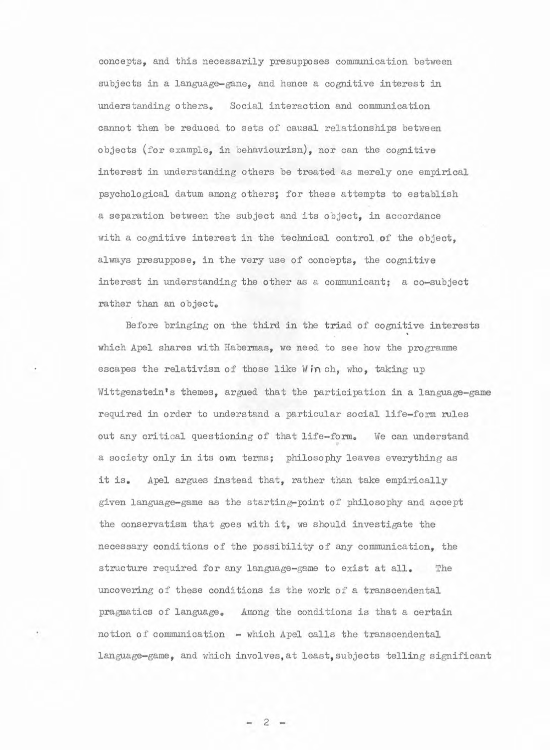concepts, and this necessarily presupwses communication between subjects in a language-game, and hence a cognitive interest in understanding others. Social interaction and communication cannot then be reduced to sets of causal relationships between objects (for example, in behaviourism), nor can the cognitive interest in understanding others be treated as merely one empirical psychological datum among others; for these attempts to establish a separation between the subject and its object, in accordance with a cognitive interest in the technical control of the object, always presuppose, in the very use of concepts, the cognitive interest in understanding the other as a communicant; a co-subject rather than an object.

Before bringing on the third in the triad of cognitive interests which Apel shares with Habermas, we need to see how the programme escapes the relativism of those like Win ch, who, taking up Wittgenstein's themes, argued that the participation in a language-game required in order to understand a particular social life-form rules out any critical questioning of that life-form. We can understand a society only in its own terms; philosophy leaves everything as it is. Apel argues instead that, rather than take empirically given language-game as the starting-point of philosophy and accept the conservatism that goes with it, we should investigate the necessary conditions of the possibility of any communication, the stmcture required for any language-game to exist at all. The uncovering of these conditions is the work of a transcendental pragmatics of language. Among the conditions is that a certain notion of communication - which Apel calls the transcendental language-game, and which involves,at least,subjeots telling significant

 $-2-$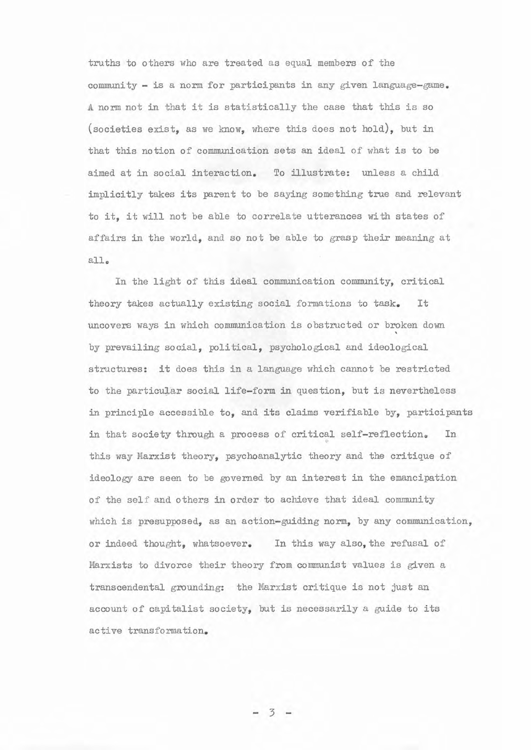truths to others who are treated as equal members of the community - is a norm for participants in any given language-game. **<sup>A</sup>**norm not in that it is statistically the case that this is so (societies exist, as we know, where this does not hold), but in that this notion of communication sets an ideal of what is to be aimed at in social interaction. To illustrate: unless a child implicitly takes its parent to be saying something true and relevant to it, it will not be able to correlate utterances with states of affairs in the world, and so not be able to grasp their meaning at all.

In the light of this ideal communication community, critical theory takes actually existing social formations to task. It uncovers ways in which communication is obstructed or broken down by prevailing social, political, psychological and ideological structures: it does this in a language which cannot be restricted to the particular social life-form in question, but is nevertheless in principle accessible to, and its claims verifiable by, participants in that society through a process of critical self-reflection. In this way Marxist theory, psychoanalytic theory and the critique of ideology are seen to be governed by an interest in the emancipation of the self and others in order to achieve that ideal community which is presupposed, as an action-guiding norm, by any communication, or indeed thought, whatsoever. In this way also, the refusal of Marxists to divorce their theory from communist values is given a transcendental gmunding: the Marxist critique is not just an account of capitalist society, but is necessarily a guide to its active transformation.